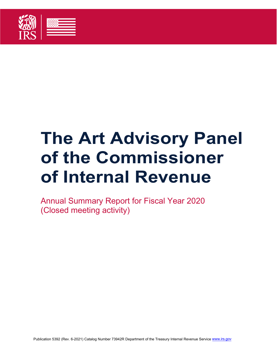

# **The Art Advisory Panel of the Commissioner of Internal Revenue**

Annual Summary Report for Fiscal Year 2020 (Closed meeting activity)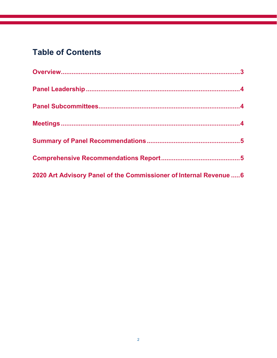## **Table of Contents**

| 2020 Art Advisory Panel of the Commissioner of Internal Revenue  6 |  |
|--------------------------------------------------------------------|--|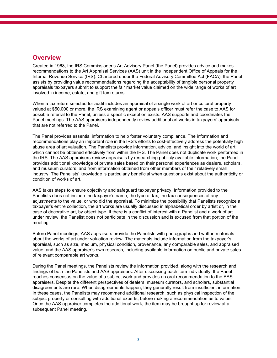#### **Overview**

Created in 1968, the IRS Commissioner's Art Advisory Panel (the Panel) provides advice and makes recommendations to the Art Appraisal Services (AAS) unit in the Independent Office of Appeals for the Internal Revenue Service (IRS). Chartered under the Federal Advisory Committee Act (FACA), the Panel assists by providing value recommendations regarding the acceptability of tangible personal property appraisals taxpayers submit to support the fair market value claimed on the wide range of works of art involved in income, estate, and gift tax returns.

When a tax return selected for audit includes an appraisal of a single work of art or cultural property valued at \$50,000 or more, the IRS examining agent or appeals officer must refer the case to AAS for possible referral to the Panel, unless a specific exception exists. AAS supports and coordinates the Panel meetings. The AAS appraisers independently review additional art works in taxpayers' appraisals that are not referred to the Panel.

The Panel provides essential information to help foster voluntary compliance. The information and recommendations play an important role in the IRS's efforts to cost-effectively address the potentially high abuse area of art valuation. The Panelists provide information, advice, and insight into the world of art which cannot be obtained effectively from within the IRS. The Panel does not duplicate work performed in the IRS. The AAS appraisers review appraisals by researching publicly available information; the Panel provides additional knowledge of private sales based on their personal experiences as dealers, scholars, and museum curators, and from information obtained from other members of their relatively small industry. The Panelists' knowledge is particularly beneficial when questions exist about the authenticity or condition of works of art.

AAS takes steps to ensure objectivity and safeguard taxpayer privacy. Information provided to the Panelists does not include the taxpayer's name, the type of tax, the tax consequences of any adjustments to the value, or who did the appraisal. To minimize the possibility that Panelists recognize a taxpayer's entire collection, the art works are usually discussed in alphabetical order by artist or, in the case of decorative art, by object type. If there is a conflict of interest with a Panelist and a work of art under review, the Panelist does not participate in the discussion and is excused from that portion of the meeting.

Before Panel meetings, AAS appraisers provide the Panelists with photographs and written materials about the works of art under valuation review. The materials include information from the taxpayer's appraisal, such as size, medium, physical condition, provenance, any comparable sales, and appraised value, and the AAS appraiser's own research, including available information on public and private sales of relevant comparable art works.

During the Panel meetings, the Panelists review the information provided, along with the research and findings of both the Panelists and AAS appraisers. After discussing each item individually, the Panel reaches consensus on the value of a subject work and provides an oral recommendation to the AAS appraisers. Despite the different perspectives of dealers, museum curators, and scholars, substantial disagreements are rare. When disagreements happen, they generally result from insufficient information. In these cases, the Panelists may recommend additional research, such as physical inspection of the subject property or consulting with additional experts, before making a recommendation as to value. Once the AAS appraiser completes the additional work, the item may be brought up for review at a subsequent Panel meeting.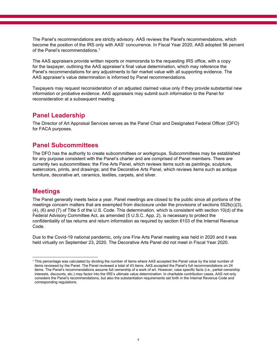The Panel's recommendations are strictly advisory. AAS reviews the Panel's recommendations, which become the position of the IRS only with AAS' concurrence. In Fiscal Year 2020, AAS adopted 56 percent of the Panel's recommendations.1

The AAS appraisers provide written reports or memoranda to the requesting IRS office, with a copy for the taxpayer, outlining the AAS appraiser's final value determination, which may reference the Panel's recommendations for any adjustments to fair market value with all supporting evidence. The AAS appraiser's value determination is informed by Panel recommendations.

Taxpayers may request reconsideration of an adjusted claimed value only if they provide substantial new information or probative evidence. AAS appraisers may submit such information to the Panel for reconsideration at a subsequent meeting.

#### **Panel Leadership**

The Director of Art Appraisal Services serves as the Panel Chair and Designated Federal Officer (DFO) for FACA purposes.

#### **Panel Subcommittees**

The DFO has the authority to create subcommittees or workgroups. Subcommittees may be established for any purpose consistent with the Panel's charter and are comprised of Panel members. There are currently two subcommittees: the Fine Arts Panel, which reviews items such as paintings, sculpture, watercolors, prints, and drawings; and the Decorative Arts Panel, which reviews items such as antique furniture, decorative art, ceramics, textiles, carpets, and silver.

#### **Meetings**

The Panel generally meets twice a year. Panel meetings are closed to the public since all portions of the meetings concern matters that are exempted from disclosure under the provisions of sections 552b(c)(3), (4), (6) and (7) of Title 5 of the U.S. Code. This determination, which is consistent with section 10(d) of the Federal Advisory Committee Act, as amended (5 U.S.C. App. 2), is necessary to protect the confidentiality of tax returns and return information as required by section 6103 of the Internal Revenue Code.

Due to the Covid-19 national pandemic, only one Fine Arts Panel meeting was held in 2020 and it was held virtually on September 23, 2020. The Decorative Arts Panel did not meet in Fiscal Year 2020.

<sup>1</sup> This percentage was calculated by dividing the number of items where AAS accepted the Panel value by the total number of items reviewed by the Panel. The Panel reviewed a total of 43 items. AAS accepted the Panel's full recommendations on 24 items. The Panel's recommendations assume full ownership of a work of art. However, case specific facts (i.e., partial ownership interests, discounts, etc.) may factor into the IRS's ultimate value determination. In charitable contribution cases, AAS not only considers the Panel's recommendations, but also the substantiation requirements set forth in the Internal Revenue Code and corresponding regulations.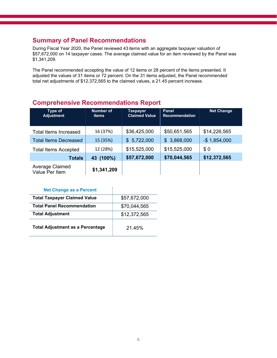#### **Summary of Panel Recommendations**

During Fiscal Year 2020, the Panel reviewed 43 items with an aggregate taxpayer valuation of \$57,672,000 on 14 taxpayer cases. The average claimed value for an item reviewed by the Panel was \$1,341,209.

The Panel recommended accepting the value of 12 items or 28 percent of the items presented. It adjusted the values of 31 items or 72 percent. On the 31 items adjusted, the Panel recommended total net adjustments of \$12,372,565 to the claimed values, a 21.45 percent increase.

#### **Comprehensive Recommendations Report**

| Type of<br><b>Adjustment</b>      | <b>Number of</b><br>items | Taxpayer<br><b>Claimed Value</b> | <b>Panel</b><br><b>Recommendation</b> | <b>Net Change</b> |
|-----------------------------------|---------------------------|----------------------------------|---------------------------------------|-------------------|
| Total Items Increased             | 16 (37%)                  | \$36,425,000                     | \$50,651,565                          | \$14,226,565      |
| <b>Total Items Decreased</b>      | 15 (35%)                  | \$5,722,000                      | \$3,868,000                           | $-$ \$1,854,000   |
| <b>Total Items Accepted</b>       | 12 (28%)                  | \$15,525,000                     | \$15,525,000                          | \$0               |
| <b>Totals</b>                     | $(100\%)$<br>43           | \$57,672,000                     | \$70,044,565                          | \$12,372,565      |
| Average Claimed<br>Value Per Item | \$1,341,209               |                                  |                                       |                   |

| <b>Net Change as a Percent</b>          |              |
|-----------------------------------------|--------------|
| <b>Total Taxpayer Claimed Value</b>     | \$57,672,000 |
| <b>Total Panel Recommendation</b>       | \$70,044,565 |
| <b>Total Adjustment</b>                 | \$12,372,565 |
| <b>Total Adjustment as a Percentage</b> | 21.45%       |